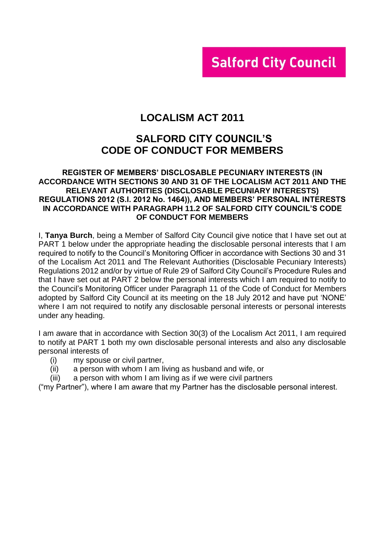# **Salford City Council**

# **LOCALISM ACT 2011**

# **SALFORD CITY COUNCIL'S CODE OF CONDUCT FOR MEMBERS**

#### **REGISTER OF MEMBERS' DISCLOSABLE PECUNIARY INTERESTS (IN ACCORDANCE WITH SECTIONS 30 AND 31 OF THE LOCALISM ACT 2011 AND THE RELEVANT AUTHORITIES (DISCLOSABLE PECUNIARY INTERESTS) REGULATIONS 2012 (S.I. 2012 No. 1464)), AND MEMBERS' PERSONAL INTERESTS IN ACCORDANCE WITH PARAGRAPH 11.2 OF SALFORD CITY COUNCIL'S CODE OF CONDUCT FOR MEMBERS**

I, **Tanya Burch**, being a Member of Salford City Council give notice that I have set out at PART 1 below under the appropriate heading the disclosable personal interests that I am required to notify to the Council's Monitoring Officer in accordance with Sections 30 and 31 of the Localism Act 2011 and The Relevant Authorities (Disclosable Pecuniary Interests) Regulations 2012 and/or by virtue of Rule 29 of Salford City Council's Procedure Rules and that I have set out at PART 2 below the personal interests which I am required to notify to the Council's Monitoring Officer under Paragraph 11 of the Code of Conduct for Members adopted by Salford City Council at its meeting on the 18 July 2012 and have put 'NONE' where I am not required to notify any disclosable personal interests or personal interests under any heading.

I am aware that in accordance with Section 30(3) of the Localism Act 2011, I am required to notify at PART 1 both my own disclosable personal interests and also any disclosable personal interests of

- (i) my spouse or civil partner,
- (ii) a person with whom I am living as husband and wife, or
- (iii) a person with whom I am living as if we were civil partners

("my Partner"), where I am aware that my Partner has the disclosable personal interest.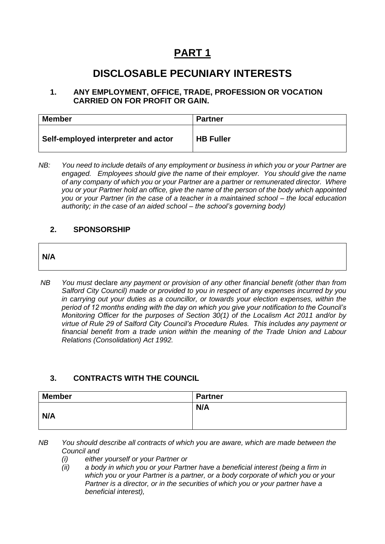# **PART 1**

# **DISCLOSABLE PECUNIARY INTERESTS**

### **1. ANY EMPLOYMENT, OFFICE, TRADE, PROFESSION OR VOCATION CARRIED ON FOR PROFIT OR GAIN.**

| <b>Member</b>                       | <b>Partner</b>   |
|-------------------------------------|------------------|
| Self-employed interpreter and actor | <b>HB Fuller</b> |

*NB: You need to include details of any employment or business in which you or your Partner are engaged. Employees should give the name of their employer. You should give the name of any company of which you or your Partner are a partner or remunerated director. Where you or your Partner hold an office, give the name of the person of the body which appointed you or your Partner (in the case of a teacher in a maintained school – the local education authority; in the case of an aided school – the school's governing body)*

### **2. SPONSORSHIP**

## **N/A**

*NB You must* declare *any payment or provision of any other financial benefit (other than from Salford City Council) made or provided to you in respect of any expenses incurred by you in carrying out your duties as a councillor, or towards your election expenses, within the period of 12 months ending with the day on which you give your notification to the Council's Monitoring Officer for the purposes of Section 30(1) of the Localism Act 2011 and/or by virtue of Rule 29 of Salford City Council's Procedure Rules. This includes any payment or financial benefit from a trade union within the meaning of the Trade Union and Labour Relations (Consolidation) Act 1992.* 

# **3. CONTRACTS WITH THE COUNCIL**

| <b>Member</b> | <b>Partner</b> |
|---------------|----------------|
| N/A           | N/A            |

*NB You should describe all contracts of which you are aware, which are made between the Council and* 

- *(i) either yourself or your Partner or*
- *(ii) a body in which you or your Partner have a beneficial interest (being a firm in which you or your Partner is a partner, or a body corporate of which you or your Partner is a director, or in the securities of which you or your partner have a beneficial interest),*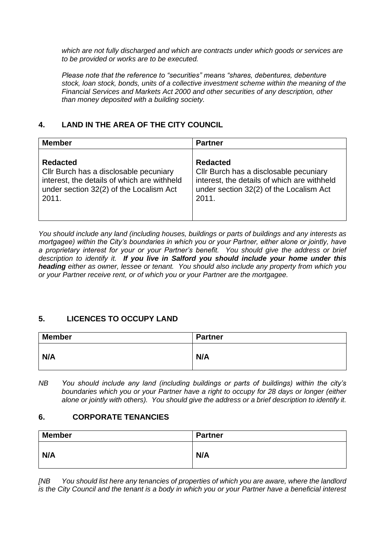*which are not fully discharged and which are contracts under which goods or services are to be provided or works are to be executed.*

*Please note that the reference to "securities" means "shares, debentures, debenture stock, loan stock, bonds, units of a collective investment scheme within the meaning of the Financial Services and Markets Act 2000 and other securities of any description, other than money deposited with a building society.*

# **4. LAND IN THE AREA OF THE CITY COUNCIL**

| <b>Member</b>                               | <b>Partner</b>                              |
|---------------------------------------------|---------------------------------------------|
| <b>Redacted</b>                             | <b>Redacted</b>                             |
| Cllr Burch has a disclosable pecuniary      | Cllr Burch has a disclosable pecuniary      |
| interest, the details of which are withheld | interest, the details of which are withheld |
| under section 32(2) of the Localism Act     | under section 32(2) of the Localism Act     |
| 2011.                                       | 2011.                                       |

*You should include any land (including houses, buildings or parts of buildings and any interests as mortgagee) within the City's boundaries in which you or your Partner, either alone or jointly, have a proprietary interest for your or your Partner's benefit. You should give the address or brief description to identify it. If you live in Salford you should include your home under this heading either as owner, lessee or tenant. You should also include any property from which you or your Partner receive rent, or of which you or your Partner are the mortgagee.*

## **5. LICENCES TO OCCUPY LAND**

| <b>Member</b> | <b>Partner</b> |
|---------------|----------------|
| N/A           | N/A            |

*NB You should include any land (including buildings or parts of buildings) within the city's boundaries which you or your Partner have a right to occupy for 28 days or longer (either alone or jointly with others). You should give the address or a brief description to identify it.*

### **6. CORPORATE TENANCIES**

| <b>Member</b> | <b>Partner</b> |
|---------------|----------------|
| N/A           | N/A            |

*[NB You should list here any tenancies of properties of which you are aware, where the landlord is the City Council and the tenant is a body in which you or your Partner have a beneficial interest*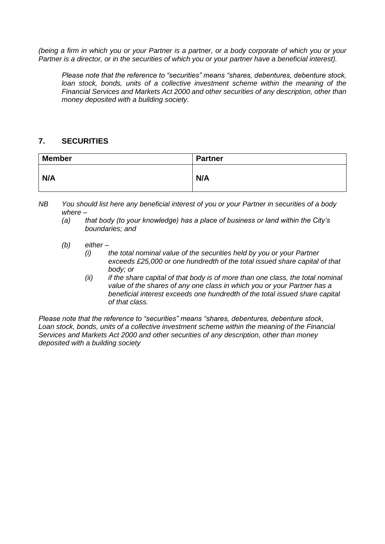*(being a firm in which you or your Partner is a partner, or a body corporate of which you or your Partner is a director, or in the securities of which you or your partner have a beneficial interest).* 

*Please note that the reference to "securities" means "shares, debentures, debenture stock, loan stock, bonds, units of a collective investment scheme within the meaning of the Financial Services and Markets Act 2000 and other securities of any description, other than money deposited with a building society.*

### **7. SECURITIES**

| <b>Member</b> | Partner |
|---------------|---------|
| N/A           | N/A     |

*NB You should list here any beneficial interest of you or your Partner in securities of a body where –*

- *(a) that body (to your knowledge) has a place of business or land within the City's boundaries; and*
- *(b) either –*
	- *(i) the total nominal value of the securities held by you or your Partner exceeds £25,000 or one hundredth of the total issued share capital of that body; or*
	- *(ii) if the share capital of that body is of more than one class, the total nominal value of the shares of any one class in which you or your Partner has a beneficial interest exceeds one hundredth of the total issued share capital of that class.*

*Please note that the reference to "securities" means "shares, debentures, debenture stock, Loan stock, bonds, units of a collective investment scheme within the meaning of the Financial Services and Markets Act 2000 and other securities of any description, other than money deposited with a building society*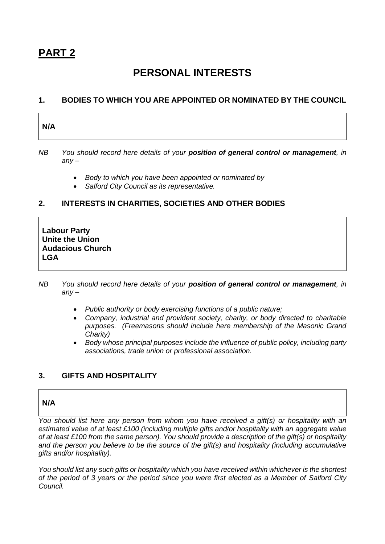# **PART 2**

# **PERSONAL INTERESTS**

### **1. BODIES TO WHICH YOU ARE APPOINTED OR NOMINATED BY THE COUNCIL**

| N/A |
|-----|
|-----|

*NB You should record here details of your position of general control or management, in any –*

- *Body to which you have been appointed or nominated by*
- *Salford City Council as its representative.*

### **2. INTERESTS IN CHARITIES, SOCIETIES AND OTHER BODIES**

**Labour Party Unite the Union Audacious Church LGA**

- *NB You should record here details of your position of general control or management, in any –*
	- *Public authority or body exercising functions of a public nature;*
	- *Company, industrial and provident society, charity, or body directed to charitable purposes. (Freemasons should include here membership of the Masonic Grand Charity)*
	- *Body whose principal purposes include the influence of public policy, including party associations, trade union or professional association.*

## **3. GIFTS AND HOSPITALITY**

### **N/A**

*You should list here any person from whom you have received a gift(s) or hospitality with an estimated value of at least £100 (including multiple gifts and/or hospitality with an aggregate value of at least £100 from the same person). You should provide a description of the gift(s) or hospitality and the person you believe to be the source of the gift(s) and hospitality (including accumulative gifts and/or hospitality).*

*You should list any such gifts or hospitality which you have received within whichever is the shortest of the period of 3 years or the period since you were first elected as a Member of Salford City Council.*